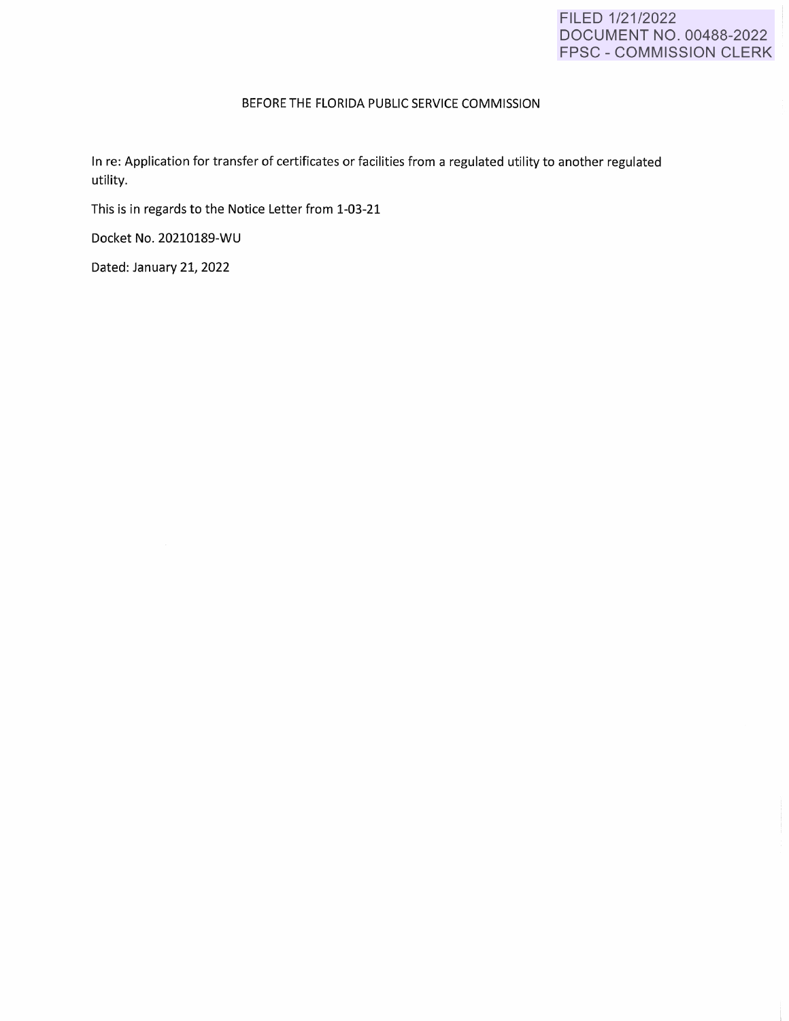## FILED 1/21/2022 DOCUMENT NO. 00488-2022 FPSC - COMMISSION CLERK

## BEFORE THE FLORIDA PUBLIC SERVICE **COMMISSION**

In re: Application for transfer of certificates or facilities from a regulated utility to another regulated utility.

This is in regards to the Notice Letter from 1-03-21

Docket No. 20210189-WU

Dated: January 21, 2022